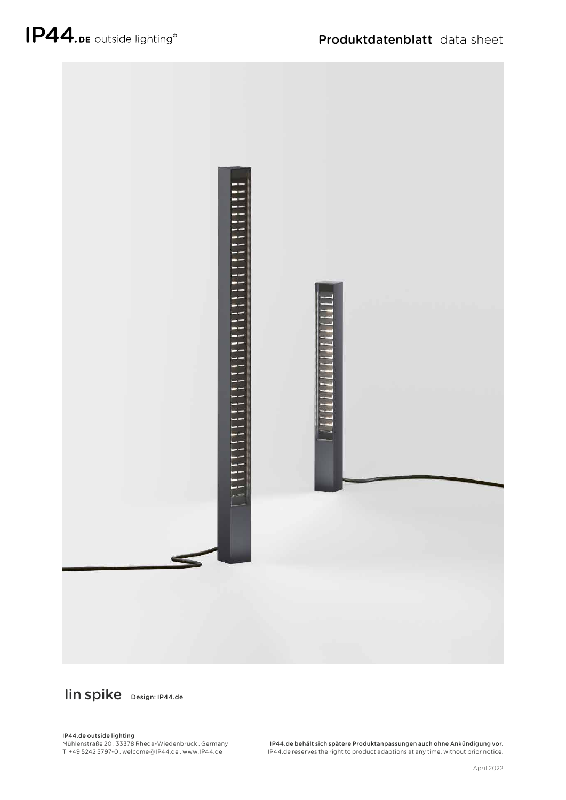

lin spike Design: IP44.de

IP44.de outside lighting

Mühlenstraße 20 . 33378 Rheda-Wiedenbrück . Germany T +49 5242 5797-0 . welcome @ IP44.de . www.IP44.de

IP44.de behält sich spätere Produktanpassungen auch ohne Ankündigung vor. IP44.de reserves the right to product adaptions at any time, without prior notice.